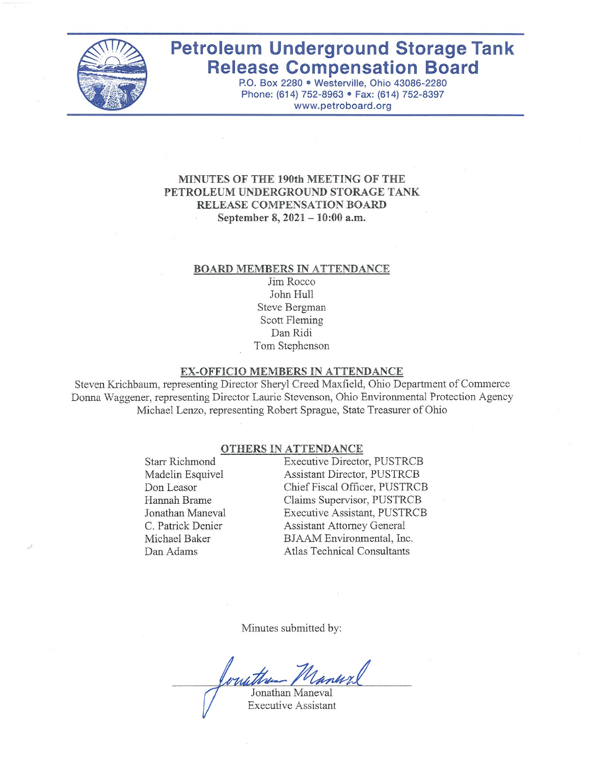

# **Petroleum Underground Storage Tank Release Compensation Board**

P.O. Box 2280 · Westerville, Ohio 43086-2280 Phone: (614) 752-8963 · Fax: (614) 752-8397 www.petroboard.org

#### MINUTES OF THE 190th MEETING OF THE PETROLEUM UNDERGROUND STORAGE TANK RELEASE COMPENSATION BOARD September 8, 2021 - 10:00 a.m.

#### **BOARD MEMBERS IN ATTENDANCE**

Jim Rocco John Hull Steve Bergman Scott Fleming Dan Ridi Tom Stephenson

#### EX-OFFICIO MEMBERS IN ATTENDANCE

Steven Krichbaum, representing Director Sheryl Creed Maxfield, Ohio Department of Commerce Donna Waggener, representing Director Laurie Stevenson, Ohio Environmental Protection Agency Michael Lenzo, representing Robert Sprague, State Treasurer of Ohio

#### OTHERS IN ATTENDANCE

**Starr Richmond** Madelin Esquivel Don Leasor Hannah Brame Jonathan Maneval C. Patrick Denier Michael Baker Dan Adams

**Executive Director, PUSTRCB Assistant Director, PUSTRCB** Chief Fiscal Officer, PUSTRCB Claims Supervisor, PUSTRCB **Executive Assistant, PUSTRCB Assistant Attorney General** BJAAM Environmental, Inc. Atlas Technical Consultants

Minutes submitted by:

Jonathan Maneval **Executive Assistant**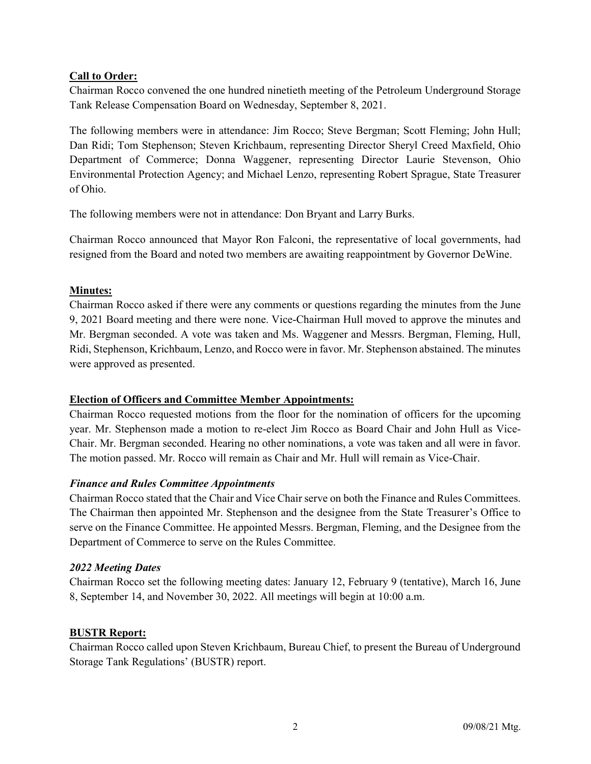# Call to Order:

Chairman Rocco convened the one hundred ninetieth meeting of the Petroleum Underground Storage Tank Release Compensation Board on Wednesday, September 8, 2021.

The following members were in attendance: Jim Rocco; Steve Bergman; Scott Fleming; John Hull; Dan Ridi; Tom Stephenson; Steven Krichbaum, representing Director Sheryl Creed Maxfield, Ohio Department of Commerce; Donna Waggener, representing Director Laurie Stevenson, Ohio Environmental Protection Agency; and Michael Lenzo, representing Robert Sprague, State Treasurer of Ohio.

The following members were not in attendance: Don Bryant and Larry Burks.

Chairman Rocco announced that Mayor Ron Falconi, the representative of local governments, had resigned from the Board and noted two members are awaiting reappointment by Governor DeWine.

# Minutes:

Chairman Rocco asked if there were any comments or questions regarding the minutes from the June 9, 2021 Board meeting and there were none. Vice-Chairman Hull moved to approve the minutes and Mr. Bergman seconded. A vote was taken and Ms. Waggener and Messrs. Bergman, Fleming, Hull, Ridi, Stephenson, Krichbaum, Lenzo, and Rocco were in favor. Mr. Stephenson abstained. The minutes were approved as presented.

# Election of Officers and Committee Member Appointments:

Chairman Rocco requested motions from the floor for the nomination of officers for the upcoming year. Mr. Stephenson made a motion to re-elect Jim Rocco as Board Chair and John Hull as Vice-Chair. Mr. Bergman seconded. Hearing no other nominations, a vote was taken and all were in favor. The motion passed. Mr. Rocco will remain as Chair and Mr. Hull will remain as Vice-Chair.

# Finance and Rules Committee Appointments

Chairman Rocco stated that the Chair and Vice Chair serve on both the Finance and Rules Committees. The Chairman then appointed Mr. Stephenson and the designee from the State Treasurer's Office to serve on the Finance Committee. He appointed Messrs. Bergman, Fleming, and the Designee from the Department of Commerce to serve on the Rules Committee.

# 2022 Meeting Dates

Chairman Rocco set the following meeting dates: January 12, February 9 (tentative), March 16, June 8, September 14, and November 30, 2022. All meetings will begin at 10:00 a.m.

# BUSTR Report:

Chairman Rocco called upon Steven Krichbaum, Bureau Chief, to present the Bureau of Underground Storage Tank Regulations' (BUSTR) report.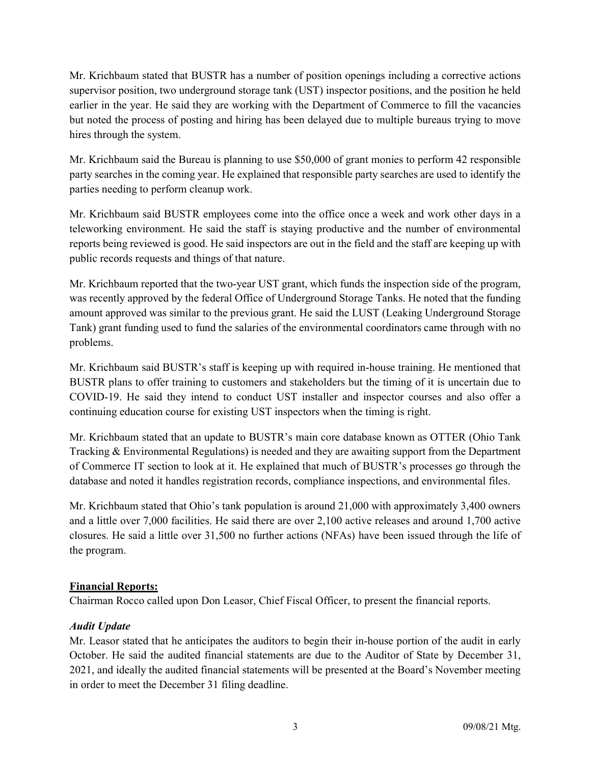Mr. Krichbaum stated that BUSTR has a number of position openings including a corrective actions supervisor position, two underground storage tank (UST) inspector positions, and the position he held earlier in the year. He said they are working with the Department of Commerce to fill the vacancies but noted the process of posting and hiring has been delayed due to multiple bureaus trying to move hires through the system.

Mr. Krichbaum said the Bureau is planning to use \$50,000 of grant monies to perform 42 responsible party searches in the coming year. He explained that responsible party searches are used to identify the parties needing to perform cleanup work.

Mr. Krichbaum said BUSTR employees come into the office once a week and work other days in a teleworking environment. He said the staff is staying productive and the number of environmental reports being reviewed is good. He said inspectors are out in the field and the staff are keeping up with public records requests and things of that nature.

Mr. Krichbaum reported that the two-year UST grant, which funds the inspection side of the program, was recently approved by the federal Office of Underground Storage Tanks. He noted that the funding amount approved was similar to the previous grant. He said the LUST (Leaking Underground Storage Tank) grant funding used to fund the salaries of the environmental coordinators came through with no problems.

Mr. Krichbaum said BUSTR's staff is keeping up with required in-house training. He mentioned that BUSTR plans to offer training to customers and stakeholders but the timing of it is uncertain due to COVID-19. He said they intend to conduct UST installer and inspector courses and also offer a continuing education course for existing UST inspectors when the timing is right.

Mr. Krichbaum stated that an update to BUSTR's main core database known as OTTER (Ohio Tank Tracking & Environmental Regulations) is needed and they are awaiting support from the Department of Commerce IT section to look at it. He explained that much of BUSTR's processes go through the database and noted it handles registration records, compliance inspections, and environmental files.

Mr. Krichbaum stated that Ohio's tank population is around 21,000 with approximately 3,400 owners and a little over 7,000 facilities. He said there are over 2,100 active releases and around 1,700 active closures. He said a little over 31,500 no further actions (NFAs) have been issued through the life of the program.

# Financial Reports:

Chairman Rocco called upon Don Leasor, Chief Fiscal Officer, to present the financial reports.

# Audit Update

Mr. Leasor stated that he anticipates the auditors to begin their in-house portion of the audit in early October. He said the audited financial statements are due to the Auditor of State by December 31, 2021, and ideally the audited financial statements will be presented at the Board's November meeting in order to meet the December 31 filing deadline.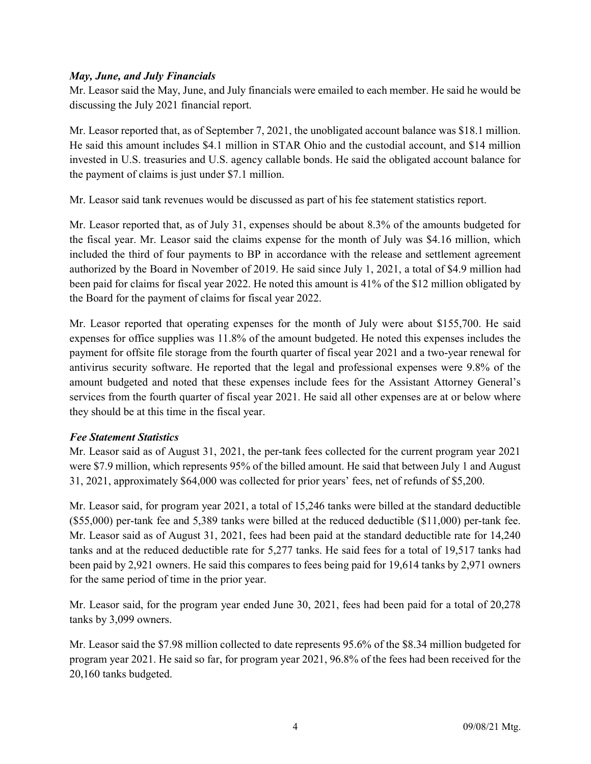# May, June, and July Financials

Mr. Leasor said the May, June, and July financials were emailed to each member. He said he would be discussing the July 2021 financial report.

Mr. Leasor reported that, as of September 7, 2021, the unobligated account balance was \$18.1 million. He said this amount includes \$4.1 million in STAR Ohio and the custodial account, and \$14 million invested in U.S. treasuries and U.S. agency callable bonds. He said the obligated account balance for the payment of claims is just under \$7.1 million.

Mr. Leasor said tank revenues would be discussed as part of his fee statement statistics report.

Mr. Leasor reported that, as of July 31, expenses should be about 8.3% of the amounts budgeted for the fiscal year. Mr. Leasor said the claims expense for the month of July was \$4.16 million, which included the third of four payments to BP in accordance with the release and settlement agreement authorized by the Board in November of 2019. He said since July 1, 2021, a total of \$4.9 million had been paid for claims for fiscal year 2022. He noted this amount is 41% of the \$12 million obligated by the Board for the payment of claims for fiscal year 2022.

Mr. Leasor reported that operating expenses for the month of July were about \$155,700. He said expenses for office supplies was 11.8% of the amount budgeted. He noted this expenses includes the payment for offsite file storage from the fourth quarter of fiscal year 2021 and a two-year renewal for antivirus security software. He reported that the legal and professional expenses were 9.8% of the amount budgeted and noted that these expenses include fees for the Assistant Attorney General's services from the fourth quarter of fiscal year 2021. He said all other expenses are at or below where they should be at this time in the fiscal year.

# Fee Statement Statistics

Mr. Leasor said as of August 31, 2021, the per-tank fees collected for the current program year 2021 were \$7.9 million, which represents 95% of the billed amount. He said that between July 1 and August 31, 2021, approximately \$64,000 was collected for prior years' fees, net of refunds of \$5,200.

Mr. Leasor said, for program year 2021, a total of 15,246 tanks were billed at the standard deductible (\$55,000) per-tank fee and 5,389 tanks were billed at the reduced deductible (\$11,000) per-tank fee. Mr. Leasor said as of August 31, 2021, fees had been paid at the standard deductible rate for 14,240 tanks and at the reduced deductible rate for 5,277 tanks. He said fees for a total of 19,517 tanks had been paid by 2,921 owners. He said this compares to fees being paid for 19,614 tanks by 2,971 owners for the same period of time in the prior year.

Mr. Leasor said, for the program year ended June 30, 2021, fees had been paid for a total of 20,278 tanks by 3,099 owners.

Mr. Leasor said the \$7.98 million collected to date represents 95.6% of the \$8.34 million budgeted for program year 2021. He said so far, for program year 2021, 96.8% of the fees had been received for the 20,160 tanks budgeted.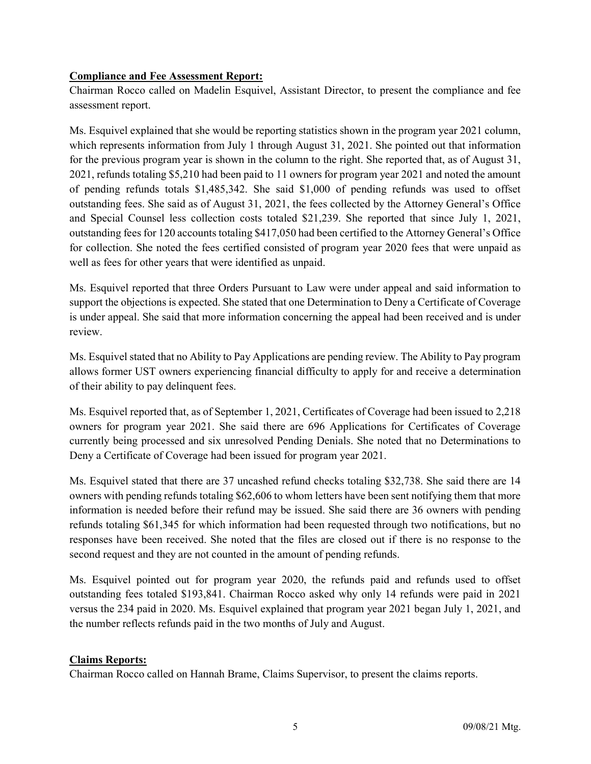# Compliance and Fee Assessment Report:

Chairman Rocco called on Madelin Esquivel, Assistant Director, to present the compliance and fee assessment report.

Ms. Esquivel explained that she would be reporting statistics shown in the program year 2021 column, which represents information from July 1 through August 31, 2021. She pointed out that information for the previous program year is shown in the column to the right. She reported that, as of August 31, 2021, refunds totaling \$5,210 had been paid to 11 owners for program year 2021 and noted the amount of pending refunds totals \$1,485,342. She said \$1,000 of pending refunds was used to offset outstanding fees. She said as of August 31, 2021, the fees collected by the Attorney General's Office and Special Counsel less collection costs totaled \$21,239. She reported that since July 1, 2021, outstanding fees for 120 accounts totaling \$417,050 had been certified to the Attorney General's Office for collection. She noted the fees certified consisted of program year 2020 fees that were unpaid as well as fees for other years that were identified as unpaid.

Ms. Esquivel reported that three Orders Pursuant to Law were under appeal and said information to support the objections is expected. She stated that one Determination to Deny a Certificate of Coverage is under appeal. She said that more information concerning the appeal had been received and is under review.

Ms. Esquivel stated that no Ability to Pay Applications are pending review. The Ability to Pay program allows former UST owners experiencing financial difficulty to apply for and receive a determination of their ability to pay delinquent fees.

Ms. Esquivel reported that, as of September 1, 2021, Certificates of Coverage had been issued to 2,218 owners for program year 2021. She said there are 696 Applications for Certificates of Coverage currently being processed and six unresolved Pending Denials. She noted that no Determinations to Deny a Certificate of Coverage had been issued for program year 2021.

Ms. Esquivel stated that there are 37 uncashed refund checks totaling \$32,738. She said there are 14 owners with pending refunds totaling \$62,606 to whom letters have been sent notifying them that more information is needed before their refund may be issued. She said there are 36 owners with pending refunds totaling \$61,345 for which information had been requested through two notifications, but no responses have been received. She noted that the files are closed out if there is no response to the second request and they are not counted in the amount of pending refunds.

Ms. Esquivel pointed out for program year 2020, the refunds paid and refunds used to offset outstanding fees totaled \$193,841. Chairman Rocco asked why only 14 refunds were paid in 2021 versus the 234 paid in 2020. Ms. Esquivel explained that program year 2021 began July 1, 2021, and the number reflects refunds paid in the two months of July and August.

# Claims Reports:

Chairman Rocco called on Hannah Brame, Claims Supervisor, to present the claims reports.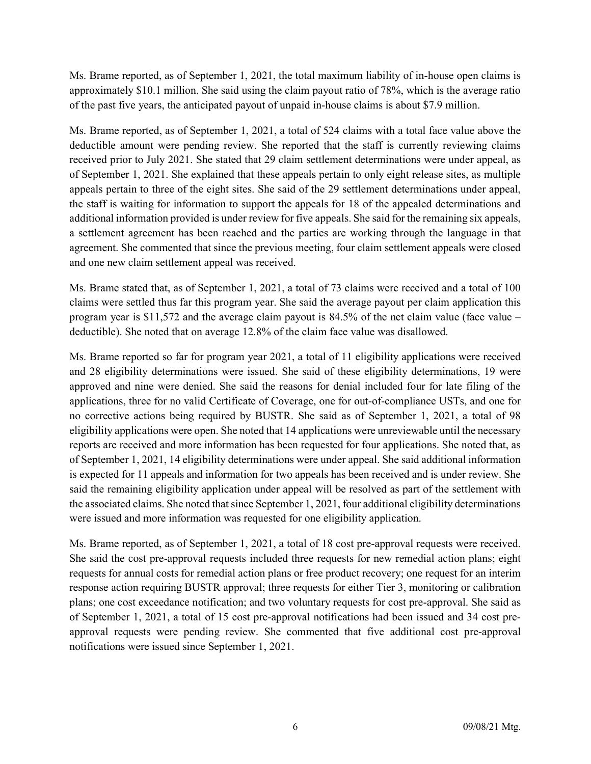Ms. Brame reported, as of September 1, 2021, the total maximum liability of in-house open claims is approximately \$10.1 million. She said using the claim payout ratio of 78%, which is the average ratio of the past five years, the anticipated payout of unpaid in-house claims is about \$7.9 million.

Ms. Brame reported, as of September 1, 2021, a total of 524 claims with a total face value above the deductible amount were pending review. She reported that the staff is currently reviewing claims received prior to July 2021. She stated that 29 claim settlement determinations were under appeal, as of September 1, 2021. She explained that these appeals pertain to only eight release sites, as multiple appeals pertain to three of the eight sites. She said of the 29 settlement determinations under appeal, the staff is waiting for information to support the appeals for 18 of the appealed determinations and additional information provided is under review for five appeals. She said for the remaining six appeals, a settlement agreement has been reached and the parties are working through the language in that agreement. She commented that since the previous meeting, four claim settlement appeals were closed and one new claim settlement appeal was received.

Ms. Brame stated that, as of September 1, 2021, a total of 73 claims were received and a total of 100 claims were settled thus far this program year. She said the average payout per claim application this program year is \$11,572 and the average claim payout is 84.5% of the net claim value (face value – deductible). She noted that on average 12.8% of the claim face value was disallowed.

Ms. Brame reported so far for program year 2021, a total of 11 eligibility applications were received and 28 eligibility determinations were issued. She said of these eligibility determinations, 19 were approved and nine were denied. She said the reasons for denial included four for late filing of the applications, three for no valid Certificate of Coverage, one for out-of-compliance USTs, and one for no corrective actions being required by BUSTR. She said as of September 1, 2021, a total of 98 eligibility applications were open. She noted that 14 applications were unreviewable until the necessary reports are received and more information has been requested for four applications. She noted that, as of September 1, 2021, 14 eligibility determinations were under appeal. She said additional information is expected for 11 appeals and information for two appeals has been received and is under review. She said the remaining eligibility application under appeal will be resolved as part of the settlement with the associated claims. She noted that since September 1, 2021, four additional eligibility determinations were issued and more information was requested for one eligibility application.

Ms. Brame reported, as of September 1, 2021, a total of 18 cost pre-approval requests were received. She said the cost pre-approval requests included three requests for new remedial action plans; eight requests for annual costs for remedial action plans or free product recovery; one request for an interim response action requiring BUSTR approval; three requests for either Tier 3, monitoring or calibration plans; one cost exceedance notification; and two voluntary requests for cost pre-approval. She said as of September 1, 2021, a total of 15 cost pre-approval notifications had been issued and 34 cost preapproval requests were pending review. She commented that five additional cost pre-approval notifications were issued since September 1, 2021.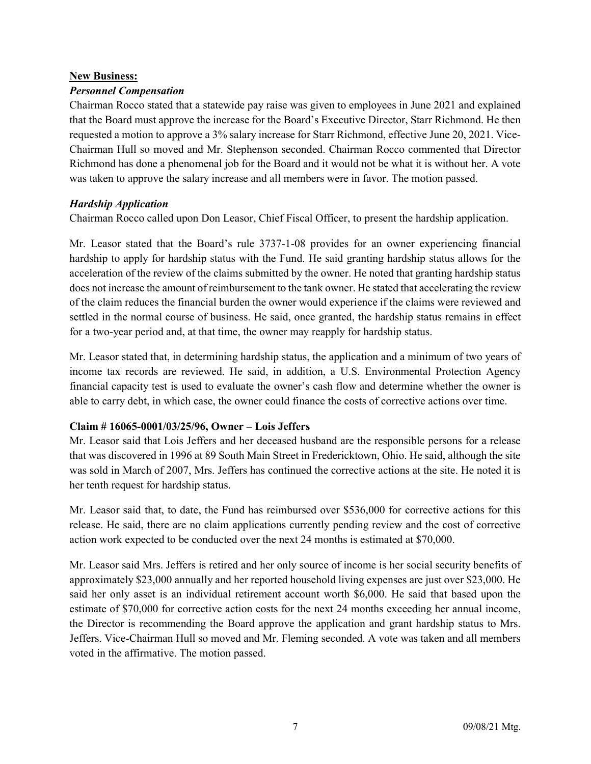#### New Business:

#### Personnel Compensation

Chairman Rocco stated that a statewide pay raise was given to employees in June 2021 and explained that the Board must approve the increase for the Board's Executive Director, Starr Richmond. He then requested a motion to approve a 3% salary increase for Starr Richmond, effective June 20, 2021. Vice-Chairman Hull so moved and Mr. Stephenson seconded. Chairman Rocco commented that Director Richmond has done a phenomenal job for the Board and it would not be what it is without her. A vote was taken to approve the salary increase and all members were in favor. The motion passed.

# Hardship Application

Chairman Rocco called upon Don Leasor, Chief Fiscal Officer, to present the hardship application.

Mr. Leasor stated that the Board's rule 3737-1-08 provides for an owner experiencing financial hardship to apply for hardship status with the Fund. He said granting hardship status allows for the acceleration of the review of the claims submitted by the owner. He noted that granting hardship status does not increase the amount of reimbursement to the tank owner. He stated that accelerating the review of the claim reduces the financial burden the owner would experience if the claims were reviewed and settled in the normal course of business. He said, once granted, the hardship status remains in effect for a two-year period and, at that time, the owner may reapply for hardship status.

Mr. Leasor stated that, in determining hardship status, the application and a minimum of two years of income tax records are reviewed. He said, in addition, a U.S. Environmental Protection Agency financial capacity test is used to evaluate the owner's cash flow and determine whether the owner is able to carry debt, in which case, the owner could finance the costs of corrective actions over time.

# Claim # 16065-0001/03/25/96, Owner – Lois Jeffers

Mr. Leasor said that Lois Jeffers and her deceased husband are the responsible persons for a release that was discovered in 1996 at 89 South Main Street in Fredericktown, Ohio. He said, although the site was sold in March of 2007, Mrs. Jeffers has continued the corrective actions at the site. He noted it is her tenth request for hardship status.

Mr. Leasor said that, to date, the Fund has reimbursed over \$536,000 for corrective actions for this release. He said, there are no claim applications currently pending review and the cost of corrective action work expected to be conducted over the next 24 months is estimated at \$70,000.

Mr. Leasor said Mrs. Jeffers is retired and her only source of income is her social security benefits of approximately \$23,000 annually and her reported household living expenses are just over \$23,000. He said her only asset is an individual retirement account worth \$6,000. He said that based upon the estimate of \$70,000 for corrective action costs for the next 24 months exceeding her annual income, the Director is recommending the Board approve the application and grant hardship status to Mrs. Jeffers. Vice-Chairman Hull so moved and Mr. Fleming seconded. A vote was taken and all members voted in the affirmative. The motion passed.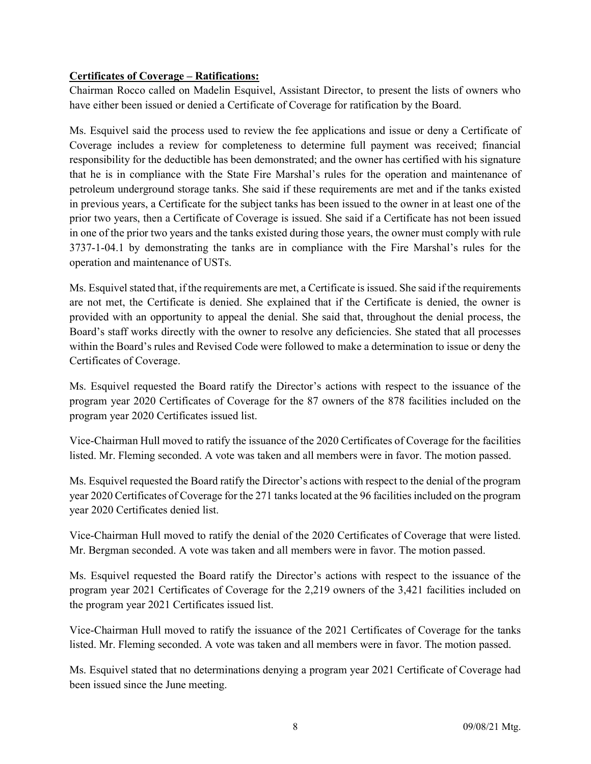# Certificates of Coverage – Ratifications:

Chairman Rocco called on Madelin Esquivel, Assistant Director, to present the lists of owners who have either been issued or denied a Certificate of Coverage for ratification by the Board.

Ms. Esquivel said the process used to review the fee applications and issue or deny a Certificate of Coverage includes a review for completeness to determine full payment was received; financial responsibility for the deductible has been demonstrated; and the owner has certified with his signature that he is in compliance with the State Fire Marshal's rules for the operation and maintenance of petroleum underground storage tanks. She said if these requirements are met and if the tanks existed in previous years, a Certificate for the subject tanks has been issued to the owner in at least one of the prior two years, then a Certificate of Coverage is issued. She said if a Certificate has not been issued in one of the prior two years and the tanks existed during those years, the owner must comply with rule 3737-1-04.1 by demonstrating the tanks are in compliance with the Fire Marshal's rules for the operation and maintenance of USTs.

Ms. Esquivel stated that, if the requirements are met, a Certificate is issued. She said if the requirements are not met, the Certificate is denied. She explained that if the Certificate is denied, the owner is provided with an opportunity to appeal the denial. She said that, throughout the denial process, the Board's staff works directly with the owner to resolve any deficiencies. She stated that all processes within the Board's rules and Revised Code were followed to make a determination to issue or deny the Certificates of Coverage.

Ms. Esquivel requested the Board ratify the Director's actions with respect to the issuance of the program year 2020 Certificates of Coverage for the 87 owners of the 878 facilities included on the program year 2020 Certificates issued list.

Vice-Chairman Hull moved to ratify the issuance of the 2020 Certificates of Coverage for the facilities listed. Mr. Fleming seconded. A vote was taken and all members were in favor. The motion passed.

Ms. Esquivel requested the Board ratify the Director's actions with respect to the denial of the program year 2020 Certificates of Coverage for the 271 tanks located at the 96 facilities included on the program year 2020 Certificates denied list.

Vice-Chairman Hull moved to ratify the denial of the 2020 Certificates of Coverage that were listed. Mr. Bergman seconded. A vote was taken and all members were in favor. The motion passed.

Ms. Esquivel requested the Board ratify the Director's actions with respect to the issuance of the program year 2021 Certificates of Coverage for the 2,219 owners of the 3,421 facilities included on the program year 2021 Certificates issued list.

Vice-Chairman Hull moved to ratify the issuance of the 2021 Certificates of Coverage for the tanks listed. Mr. Fleming seconded. A vote was taken and all members were in favor. The motion passed.

Ms. Esquivel stated that no determinations denying a program year 2021 Certificate of Coverage had been issued since the June meeting.